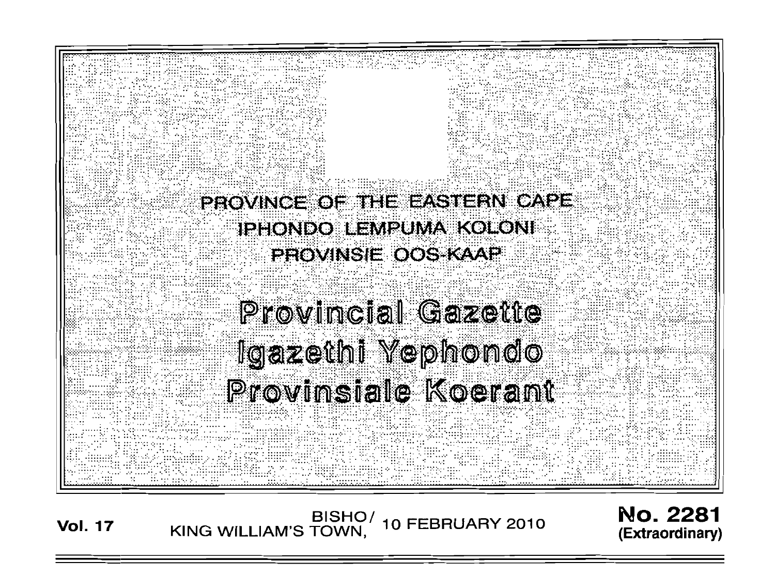

BISHO/ 10 FEBRUARY 2010<br>KING WILLIAM'S TOWN, 10 FEBRUARY 2010 **Vol. 17** 

**No. 2281** (Extraordinary)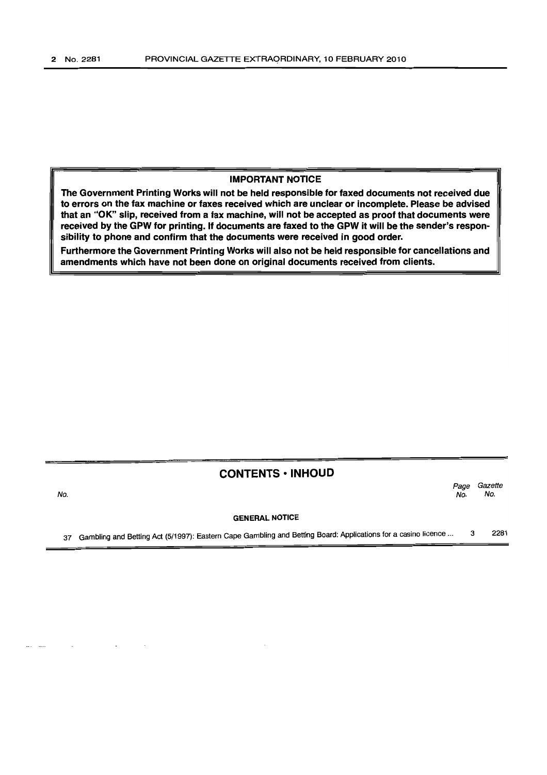No.

## IMPORTANT NOTICE

The Government Printing Works will not be held responsible for faxed documents not received due to errors on the fax machine or faxes received which are unclear or incomplete. Please be advised that an "OK" slip, received from a fax machine, will not be accepted as proof that documents were received by the GPW for printing. If documents are faxed to the GPW it will be the sender's responsibility to phone and confirm that the documents were received in good order.

Furthermore the Government Printing Works will also not be held responsible for cancellations and amendments which have not been done on original documents received from clients.

# CONTENTS ·INHOUD

Page Gazette<br>No. No. No. No.

#### GENERAL NOTICE

37 Gambling and Betting Act (5/1997): Eastern Cape Gambling and Betting Board: Applications for a casino licence ... 3 2281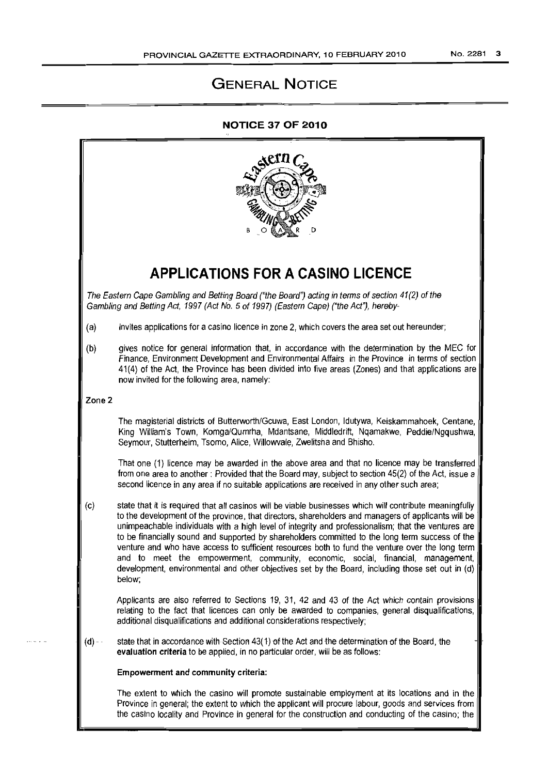# **GENERAL NOTICE**

# **NOTICE 37 OF 2010**

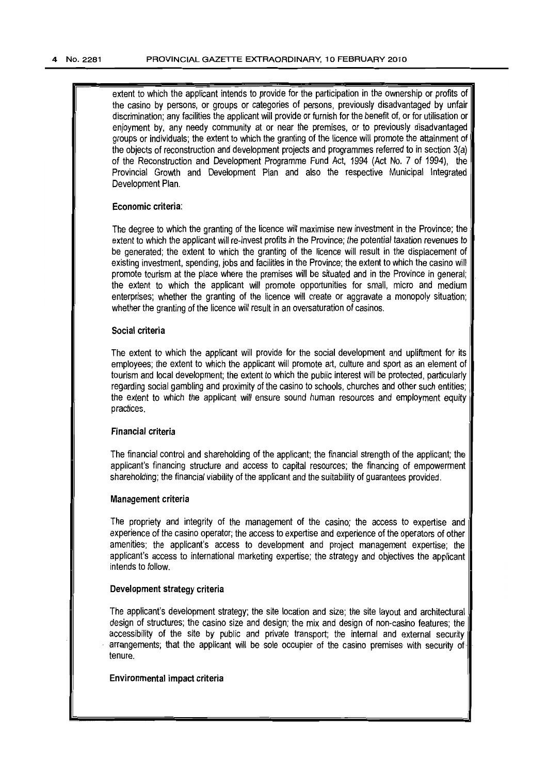extent to which the applicant intends to provide for the participation in the ownership or profits of the casino by persons, or groups or categories of persons, previously disadvantaged by unfair discrimination; any facilities the applicant will provide or furnish for the benefit of, or for utilisation or enjoyment by, any needy community at or near the premises, or to previously disadvantaged groups orindividuals; the extent to which the granting ofthe licence will promote the attainment of the objects of reconstruction and development projects and programmes referred to in section 3(a) of the Reconstruction and Development Programme Fund Act, 1994 (Act No.7 of 1994), the Provincial Growth and Development Plan and also the respective Municipal Integrated Development Plan.

## Economic criteria:

The degree to which the granting of the licence will maximise new investment in the Province; the extent to which the applicant will re-invest profits in the Province; the potential taxation revenues to be generated; the extent to which the granting of the licence will result in the displacement of existing investment, spending, jobs and facilities in the Province; the extent to which the casino will promote tourism at the place where the premises will be situated and in the Province in general; the extent to which the applicant will promote opportunities for small, micro and medium enterprises; whether the granting of the licence will create or aggravate a monopoly situation; whether the granting of the licence will result in an oversaturation of casinos.

## Social criteria

The extent to which the applicant will provide for the social development and upliftment for its employees; the extent to which the applicant will promote art, culture and sport as an element of tourism and local development; the extent to which the public interest will be protected, particularly regarding social gambling and proximity of the casino to schools, churches and other such entities; the extent to which the applicant will ensure sound human resources and employment equity practices.

#### Financial criteria

The financial control and shareholding of the applicant; the financial strength of the applicant; the applicant's financing structure and access to capital resources; the financing of empowerment shareholding; the financial viability of the applicant and the suitability of guarantees provided.

#### Management criteria

The propriety and integrity of the management of the casino; the access to expertise and experience of the casino operator; the access to expertise and experience of the operators of other amenities; the applicant's access to development and project management expertise; the applicant's access to international marketing expertise; the strategy and objectives the applicant intends to follow.

### Development strategy criteria

The applicant's development strategy; the site location and size; the site layout and architectural design of structures; the casino size and design; the mix and design of non-casino features; the accessibility of the site by public and private transport; the internal and external security arrangements; that the applicant will be sole occupier of the casino premises with security oftenure.

#### Environmental impact criteria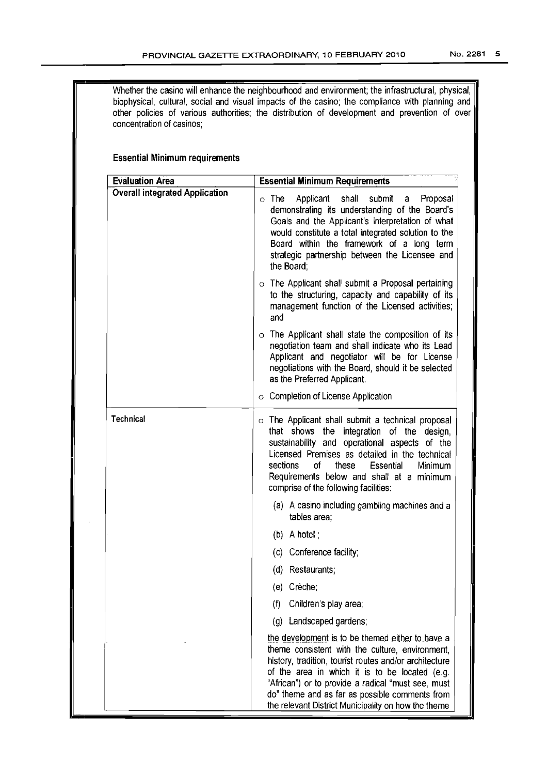| Whether the casino will enhance the neighbourhood and environment; the infrastructural, physical,<br>biophysical, cultural, social and visual impacts of the casino; the compliance with planning and<br>other policies of various authorities; the distribution of development and prevention of over<br>concentration of casinos;<br><b>Essential Minimum requirements</b> |                                                                                                                                                                                                                                                                                                                                                                                |  |  |  |
|------------------------------------------------------------------------------------------------------------------------------------------------------------------------------------------------------------------------------------------------------------------------------------------------------------------------------------------------------------------------------|--------------------------------------------------------------------------------------------------------------------------------------------------------------------------------------------------------------------------------------------------------------------------------------------------------------------------------------------------------------------------------|--|--|--|
|                                                                                                                                                                                                                                                                                                                                                                              |                                                                                                                                                                                                                                                                                                                                                                                |  |  |  |
| <b>Overall integrated Application</b>                                                                                                                                                                                                                                                                                                                                        | Applicant shall<br>submit<br>$\circ$ The<br>Proposal<br>a<br>demonstrating its understanding of the Board's<br>Goals and the Applicant's interpretation of what<br>would constitute a total integrated solution to the<br>Board within the framework of a long term<br>strategic partnership between the Licensee and<br>the Board:                                            |  |  |  |
|                                                                                                                                                                                                                                                                                                                                                                              | $\circ$ The Applicant shall submit a Proposal pertaining<br>to the structuring, capacity and capability of its<br>management function of the Licensed activities;<br>and                                                                                                                                                                                                       |  |  |  |
|                                                                                                                                                                                                                                                                                                                                                                              | $\circ$ The Applicant shall state the composition of its<br>negotiation team and shall indicate who its Lead<br>Applicant and negotiator will be for License<br>negotiations with the Board, should it be selected<br>as the Preferred Applicant.                                                                                                                              |  |  |  |
|                                                                                                                                                                                                                                                                                                                                                                              | ○ Completion of License Application                                                                                                                                                                                                                                                                                                                                            |  |  |  |
| <b>Technical</b>                                                                                                                                                                                                                                                                                                                                                             | o The Applicant shall submit a technical proposal<br>that shows the<br>integration of the design,<br>sustainability and operational aspects of the<br>Licensed Premises as detailed in the technical<br>sections<br>οf<br>these<br>Essential<br>Minimum<br>Requirements below and shall at a minimum<br>comprise of the following facilities:                                  |  |  |  |
|                                                                                                                                                                                                                                                                                                                                                                              | (a) A casino including gambling machines and a<br>tables area;                                                                                                                                                                                                                                                                                                                 |  |  |  |
|                                                                                                                                                                                                                                                                                                                                                                              | $(b)$ A hotel;                                                                                                                                                                                                                                                                                                                                                                 |  |  |  |
|                                                                                                                                                                                                                                                                                                                                                                              | Conference facility;<br>(c)                                                                                                                                                                                                                                                                                                                                                    |  |  |  |
|                                                                                                                                                                                                                                                                                                                                                                              | Restaurants;<br>(d)                                                                                                                                                                                                                                                                                                                                                            |  |  |  |
|                                                                                                                                                                                                                                                                                                                                                                              | (e) Crèche;                                                                                                                                                                                                                                                                                                                                                                    |  |  |  |
|                                                                                                                                                                                                                                                                                                                                                                              | Children's play area;<br>(1)                                                                                                                                                                                                                                                                                                                                                   |  |  |  |
|                                                                                                                                                                                                                                                                                                                                                                              | Landscaped gardens;<br>$\left( q\right)$                                                                                                                                                                                                                                                                                                                                       |  |  |  |
|                                                                                                                                                                                                                                                                                                                                                                              | the development is to be themed either to have a<br>theme consistent with the culture, environment,<br>history, tradition, tourist routes and/or architecture<br>of the area in which it is to be located (e.g.<br>"African") or to provide a radical "must see, must<br>do" theme and as far as possible comments from<br>the relevant District Municipality on how the theme |  |  |  |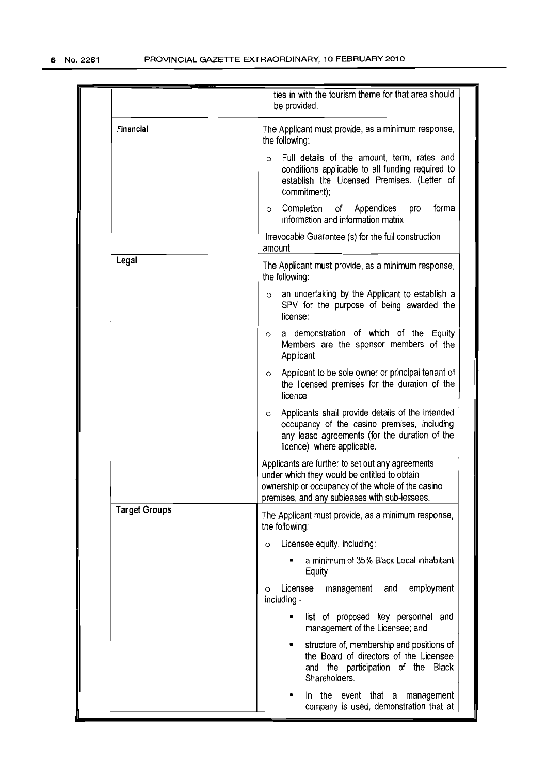|                      | ties in with the tourism theme for that area should<br>be provided.                                                                                                                                    |
|----------------------|--------------------------------------------------------------------------------------------------------------------------------------------------------------------------------------------------------|
| Financial            | The Applicant must provide, as a minimum response,<br>the following:                                                                                                                                   |
|                      | Full details of the amount, term, rates and<br>$\circ$<br>conditions applicable to all funding required to<br>establish the Licensed Premises. (Letter of<br>commitment);                              |
|                      | Completion of Appendices<br>forma<br>pro<br>$\circ$<br>information and information matrix                                                                                                              |
|                      | Irrevocable Guarantee (s) for the full construction<br>amount.                                                                                                                                         |
| Legal                | The Applicant must provide, as a minimum response,<br>the following:                                                                                                                                   |
|                      | an undertaking by the Applicant to establish a<br>$\circ$<br>SPV for the purpose of being awarded the<br>license;                                                                                      |
|                      | a demonstration of which of the Equity<br>$\circ$<br>Members are the sponsor members of the<br>Applicant;                                                                                              |
|                      | Applicant to be sole owner or principal tenant of<br>O<br>the licensed premises for the duration of the<br>licence                                                                                     |
|                      | Applicants shall provide details of the intended<br>$\circ$<br>occupancy of the casino premises, including<br>any lease agreements (for the duration of the<br>licence) where applicable.              |
|                      | Applicants are further to set out any agreements<br>under which they would be entitled to obtain<br>ownership or occupancy of the whole of the casino<br>premises, and any subleases with sub-lessees. |
| <b>Target Groups</b> | The Applicant must provide, as a minimum response,<br>the following:                                                                                                                                   |
|                      | Licensee equity, including:<br>$\circ$                                                                                                                                                                 |
|                      | a minimum of 35% Black Local inhabitant<br>Equity                                                                                                                                                      |
|                      | employment<br>Licensee<br>and<br>management<br>$\circ$<br>including -                                                                                                                                  |
|                      | list of proposed key personnel and<br>management of the Licensee; and                                                                                                                                  |
|                      | structure of, membership and positions of<br>٠<br>the Board of directors of the Licensee<br>and the participation of the Black<br>Shareholders.                                                        |
|                      | In the event that a management<br>٠<br>company is used, demonstration that at                                                                                                                          |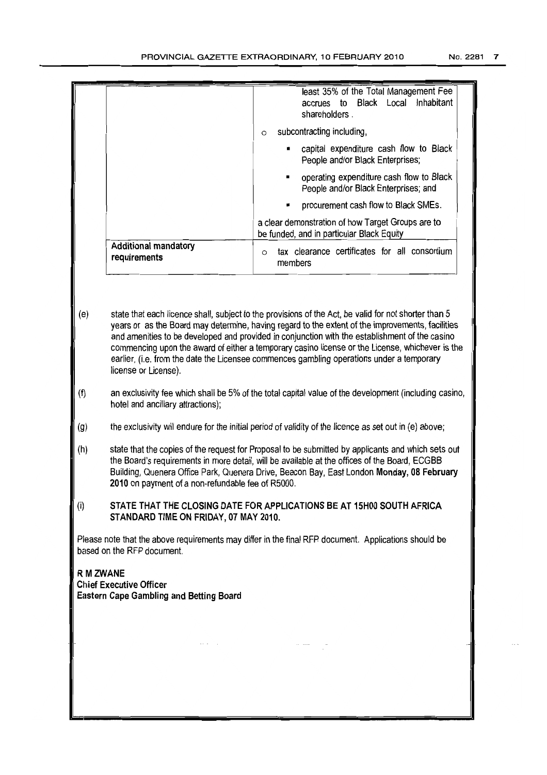|                                                                                                                                    |                                                                                                                                                                                                                                                                                                                                                       | least 35% of the Total Management Fee<br>Local Inhabitant<br>Black<br>to<br>accrues<br>shareholders.                                                                                                                                                                                                                                                                                                                                                                                                       |  |  |  |
|------------------------------------------------------------------------------------------------------------------------------------|-------------------------------------------------------------------------------------------------------------------------------------------------------------------------------------------------------------------------------------------------------------------------------------------------------------------------------------------------------|------------------------------------------------------------------------------------------------------------------------------------------------------------------------------------------------------------------------------------------------------------------------------------------------------------------------------------------------------------------------------------------------------------------------------------------------------------------------------------------------------------|--|--|--|
|                                                                                                                                    |                                                                                                                                                                                                                                                                                                                                                       | subcontracting including,<br>$\circ$                                                                                                                                                                                                                                                                                                                                                                                                                                                                       |  |  |  |
|                                                                                                                                    |                                                                                                                                                                                                                                                                                                                                                       | capital expenditure cash flow to Black<br>People and/or Black Enterprises;                                                                                                                                                                                                                                                                                                                                                                                                                                 |  |  |  |
|                                                                                                                                    |                                                                                                                                                                                                                                                                                                                                                       | operating expenditure cash flow to Black<br>People and/or Black Enterprises; and                                                                                                                                                                                                                                                                                                                                                                                                                           |  |  |  |
|                                                                                                                                    |                                                                                                                                                                                                                                                                                                                                                       | procurement cash flow to Black SMEs.                                                                                                                                                                                                                                                                                                                                                                                                                                                                       |  |  |  |
|                                                                                                                                    |                                                                                                                                                                                                                                                                                                                                                       | a clear demonstration of how Target Groups are to<br>be funded, and in particular Black Equity                                                                                                                                                                                                                                                                                                                                                                                                             |  |  |  |
|                                                                                                                                    | <b>Additional mandatory</b><br>requirements                                                                                                                                                                                                                                                                                                           | tax clearance certificates for all consortium<br>$\circ$<br>members                                                                                                                                                                                                                                                                                                                                                                                                                                        |  |  |  |
|                                                                                                                                    |                                                                                                                                                                                                                                                                                                                                                       |                                                                                                                                                                                                                                                                                                                                                                                                                                                                                                            |  |  |  |
| (e)                                                                                                                                | license or License).                                                                                                                                                                                                                                                                                                                                  | state that each licence shall, subject to the provisions of the Act, be valid for not shorter than 5<br>years or as the Board may determine, having regard to the extent of the improvements, facilities<br>and amenities to be developed and provided in conjunction with the establishment of the casino<br>commencing upon the award of either a temporary casino license or the License, whichever is the<br>earlier, (i.e. from the date the Licensee commences gambling operations under a temporary |  |  |  |
| (f)                                                                                                                                | hotel and ancillary attractions);                                                                                                                                                                                                                                                                                                                     | an exclusivity fee which shall be 5% of the total capital value of the development (including casino,                                                                                                                                                                                                                                                                                                                                                                                                      |  |  |  |
| (g)                                                                                                                                |                                                                                                                                                                                                                                                                                                                                                       | the exclusivity will endure for the initial period of validity of the licence as set out in (e) above;                                                                                                                                                                                                                                                                                                                                                                                                     |  |  |  |
| (h)                                                                                                                                | state that the copies of the request for Proposal to be submitted by applicants and which sets out<br>the Board's requirements in more detail, will be available at the offices of the Board, ECGBB<br>Building, Quenera Office Park, Quenera Drive, Beacon Bay, East London Monday, 08 February<br>2010 on payment of a non-refundable fee of R5000. |                                                                                                                                                                                                                                                                                                                                                                                                                                                                                                            |  |  |  |
| (i)                                                                                                                                | STANDARD TIME ON FRIDAY, 07 MAY 2010.                                                                                                                                                                                                                                                                                                                 | STATE THAT THE CLOSING DATE FOR APPLICATIONS BE AT 15H00 SOUTH AFRICA                                                                                                                                                                                                                                                                                                                                                                                                                                      |  |  |  |
| Please note that the above requirements may differ in the final RFP document. Applications should be<br>based on the RFP document. |                                                                                                                                                                                                                                                                                                                                                       |                                                                                                                                                                                                                                                                                                                                                                                                                                                                                                            |  |  |  |
| <b>R M ZWANE</b><br><b>Chief Executive Officer</b><br>Eastern Cape Gambling and Betting Board                                      |                                                                                                                                                                                                                                                                                                                                                       |                                                                                                                                                                                                                                                                                                                                                                                                                                                                                                            |  |  |  |
|                                                                                                                                    |                                                                                                                                                                                                                                                                                                                                                       |                                                                                                                                                                                                                                                                                                                                                                                                                                                                                                            |  |  |  |
|                                                                                                                                    |                                                                                                                                                                                                                                                                                                                                                       | $\alpha$ and $\beta$ and $\beta$                                                                                                                                                                                                                                                                                                                                                                                                                                                                           |  |  |  |
|                                                                                                                                    |                                                                                                                                                                                                                                                                                                                                                       |                                                                                                                                                                                                                                                                                                                                                                                                                                                                                                            |  |  |  |
|                                                                                                                                    |                                                                                                                                                                                                                                                                                                                                                       |                                                                                                                                                                                                                                                                                                                                                                                                                                                                                                            |  |  |  |
|                                                                                                                                    |                                                                                                                                                                                                                                                                                                                                                       |                                                                                                                                                                                                                                                                                                                                                                                                                                                                                                            |  |  |  |